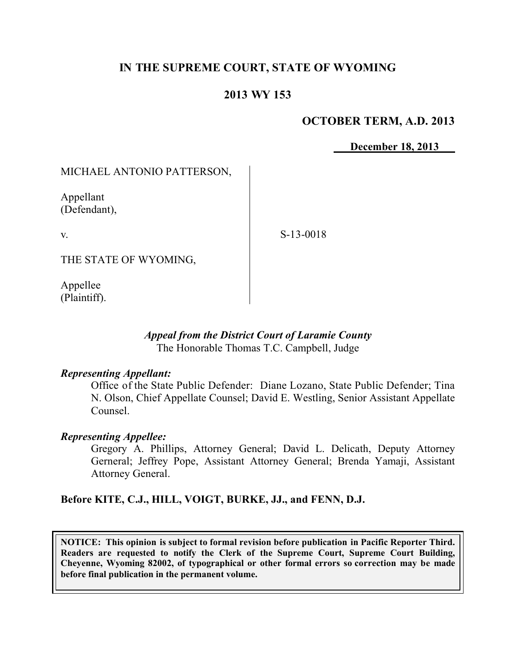# **IN THE SUPREME COURT, STATE OF WYOMING**

# **2013 WY 153**

## **OCTOBER TERM, A.D. 2013**

**December 18, 2013**

MICHAEL ANTONIO PATTERSON,

Appellant (Defendant),

v.

S-13-0018

THE STATE OF WYOMING,

Appellee (Plaintiff).

#### *Appeal from the District Court of Laramie County* The Honorable Thomas T.C. Campbell, Judge

#### *Representing Appellant:*

Office of the State Public Defender: Diane Lozano, State Public Defender; Tina N. Olson, Chief Appellate Counsel; David E. Westling, Senior Assistant Appellate Counsel.

## *Representing Appellee:*

Gregory A. Phillips, Attorney General; David L. Delicath, Deputy Attorney Gerneral; Jeffrey Pope, Assistant Attorney General; Brenda Yamaji, Assistant Attorney General.

**Before KITE, C.J., HILL, VOIGT, BURKE, JJ., and FENN, D.J.**

**NOTICE: This opinion is subject to formal revision before publication in Pacific Reporter Third. Readers are requested to notify the Clerk of the Supreme Court, Supreme Court Building, Cheyenne, Wyoming 82002, of typographical or other formal errors so correction may be made before final publication in the permanent volume.**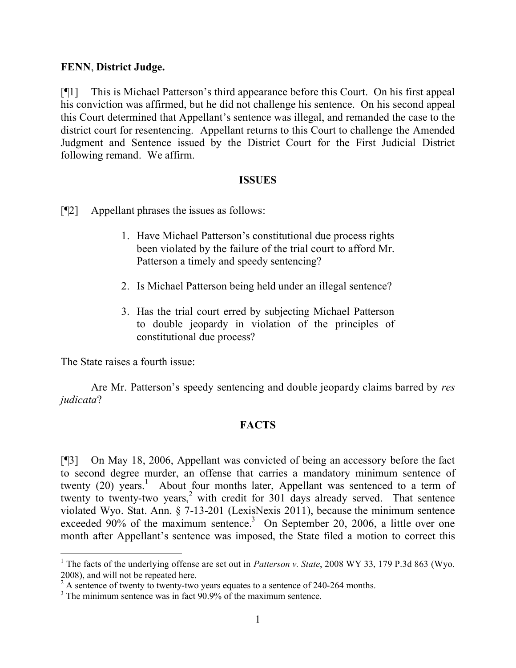### **FENN**, **District Judge.**

[¶1] This is Michael Patterson's third appearance before this Court. On his first appeal his conviction was affirmed, but he did not challenge his sentence. On his second appeal this Court determined that Appellant's sentence was illegal, and remanded the case to the district court for resentencing. Appellant returns to this Court to challenge the Amended Judgment and Sentence issued by the District Court for the First Judicial District following remand. We affirm.

#### **ISSUES**

[¶2] Appellant phrases the issues as follows:

- 1. Have Michael Patterson's constitutional due process rights been violated by the failure of the trial court to afford Mr. Patterson a timely and speedy sentencing?
- 2. Is Michael Patterson being held under an illegal sentence?
- 3. Has the trial court erred by subjecting Michael Patterson to double jeopardy in violation of the principles of constitutional due process?

The State raises a fourth issue:

 $\overline{a}$ 

Are Mr. Patterson's speedy sentencing and double jeopardy claims barred by *res judicata*?

## **FACTS**

[¶3] On May 18, 2006, Appellant was convicted of being an accessory before the fact to second degree murder, an offense that carries a mandatory minimum sentence of twenty (20) years.<sup>1</sup> About four months later, Appellant was sentenced to a term of twenty to twenty-two years, <sup>2</sup> with credit for 301 days already served. That sentence violated Wyo. Stat. Ann. § 7-13-201 (LexisNexis 2011), because the minimum sentence exceeded 90% of the maximum sentence.<sup>3</sup> On September 20, 2006, a little over one month after Appellant's sentence was imposed, the State filed a motion to correct this

<sup>&</sup>lt;sup>1</sup> The facts of the underlying offense are set out in *Patterson v. State*, 2008 WY 33, 179 P.3d 863 (Wyo. 2008), and will not be repeated here.

 $^{2}$  A sentence of twenty to twenty-two years equates to a sentence of 240-264 months.

 $3$  The minimum sentence was in fact 90.9% of the maximum sentence.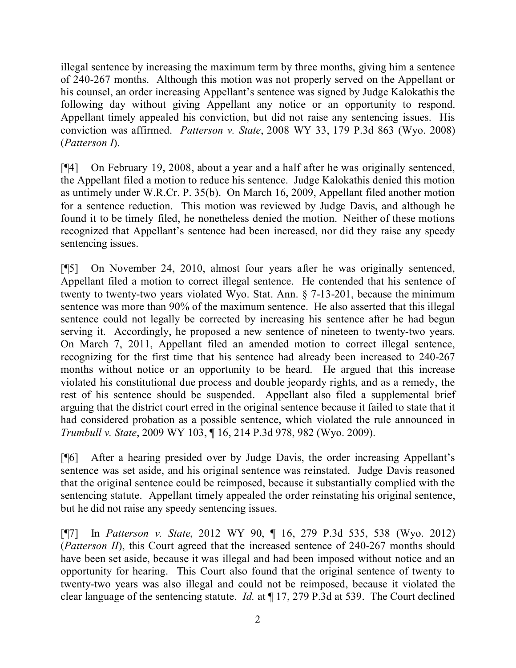illegal sentence by increasing the maximum term by three months, giving him a sentence of 240-267 months. Although this motion was not properly served on the Appellant or his counsel, an order increasing Appellant's sentence was signed by Judge Kalokathis the following day without giving Appellant any notice or an opportunity to respond. Appellant timely appealed his conviction, but did not raise any sentencing issues. His conviction was affirmed. *Patterson v. State*, 2008 WY 33, 179 P.3d 863 (Wyo. 2008) (*Patterson I*).

[¶4] On February 19, 2008, about a year and a half after he was originally sentenced, the Appellant filed a motion to reduce his sentence. Judge Kalokathis denied this motion as untimely under W.R.Cr. P. 35(b). On March 16, 2009, Appellant filed another motion for a sentence reduction. This motion was reviewed by Judge Davis, and although he found it to be timely filed, he nonetheless denied the motion. Neither of these motions recognized that Appellant's sentence had been increased, nor did they raise any speedy sentencing issues.

[¶5] On November 24, 2010, almost four years after he was originally sentenced, Appellant filed a motion to correct illegal sentence. He contended that his sentence of twenty to twenty-two years violated Wyo. Stat. Ann. § 7-13-201, because the minimum sentence was more than 90% of the maximum sentence. He also asserted that this illegal sentence could not legally be corrected by increasing his sentence after he had begun serving it. Accordingly, he proposed a new sentence of nineteen to twenty-two years. On March 7, 2011, Appellant filed an amended motion to correct illegal sentence, recognizing for the first time that his sentence had already been increased to 240-267 months without notice or an opportunity to be heard. He argued that this increase violated his constitutional due process and double jeopardy rights, and as a remedy, the rest of his sentence should be suspended. Appellant also filed a supplemental brief arguing that the district court erred in the original sentence because it failed to state that it had considered probation as a possible sentence, which violated the rule announced in *Trumbull v. State*, 2009 WY 103, ¶ 16, 214 P.3d 978, 982 (Wyo. 2009).

[¶6] After a hearing presided over by Judge Davis, the order increasing Appellant's sentence was set aside, and his original sentence was reinstated. Judge Davis reasoned that the original sentence could be reimposed, because it substantially complied with the sentencing statute. Appellant timely appealed the order reinstating his original sentence, but he did not raise any speedy sentencing issues.

[¶7] In *Patterson v. State*, 2012 WY 90, ¶ 16, 279 P.3d 535, 538 (Wyo. 2012) (*Patterson II*), this Court agreed that the increased sentence of 240-267 months should have been set aside, because it was illegal and had been imposed without notice and an opportunity for hearing. This Court also found that the original sentence of twenty to twenty-two years was also illegal and could not be reimposed, because it violated the clear language of the sentencing statute. *Id.* at ¶ 17, 279 P.3d at 539. The Court declined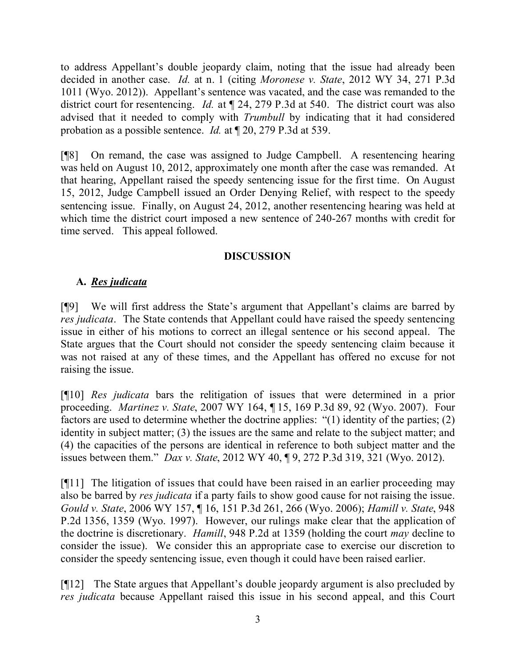to address Appellant's double jeopardy claim, noting that the issue had already been decided in another case. *Id.* at n. 1 (citing *Moronese v. State*, 2012 WY 34, 271 P.3d 1011 (Wyo. 2012)). Appellant's sentence was vacated, and the case was remanded to the district court for resentencing. *Id.* at ¶ 24, 279 P.3d at 540. The district court was also advised that it needed to comply with *Trumbull* by indicating that it had considered probation as a possible sentence. *Id.* at ¶ 20, 279 P.3d at 539.

[¶8] On remand, the case was assigned to Judge Campbell. A resentencing hearing was held on August 10, 2012, approximately one month after the case was remanded. At that hearing, Appellant raised the speedy sentencing issue for the first time. On August 15, 2012, Judge Campbell issued an Order Denying Relief, with respect to the speedy sentencing issue. Finally, on August 24, 2012, another resentencing hearing was held at which time the district court imposed a new sentence of 240-267 months with credit for time served. This appeal followed.

## **DISCUSSION**

# **A.** *Res judicata*

[¶9] We will first address the State's argument that Appellant's claims are barred by *res judicata*. The State contends that Appellant could have raised the speedy sentencing issue in either of his motions to correct an illegal sentence or his second appeal. The State argues that the Court should not consider the speedy sentencing claim because it was not raised at any of these times, and the Appellant has offered no excuse for not raising the issue.

[¶10] *Res judicata* bars the relitigation of issues that were determined in a prior proceeding. *Martinez v. State*, 2007 WY 164, ¶ 15, 169 P.3d 89, 92 (Wyo. 2007). Four factors are used to determine whether the doctrine applies: "(1) identity of the parties; (2) identity in subject matter; (3) the issues are the same and relate to the subject matter; and (4) the capacities of the persons are identical in reference to both subject matter and the issues between them." *Dax v. State*, 2012 WY 40, ¶ 9, 272 P.3d 319, 321 (Wyo. 2012).

[¶11] The litigation of issues that could have been raised in an earlier proceeding may also be barred by *res judicata* if a party fails to show good cause for not raising the issue. *Gould v. State*, 2006 WY 157, ¶ 16, 151 P.3d 261, 266 (Wyo. 2006); *Hamill v. State*, 948 P.2d 1356, 1359 (Wyo. 1997). However, our rulings make clear that the application of the doctrine is discretionary. *Hamill*, 948 P.2d at 1359 (holding the court *may* decline to consider the issue). We consider this an appropriate case to exercise our discretion to consider the speedy sentencing issue, even though it could have been raised earlier.

[¶12] The State argues that Appellant's double jeopardy argument is also precluded by *res judicata* because Appellant raised this issue in his second appeal, and this Court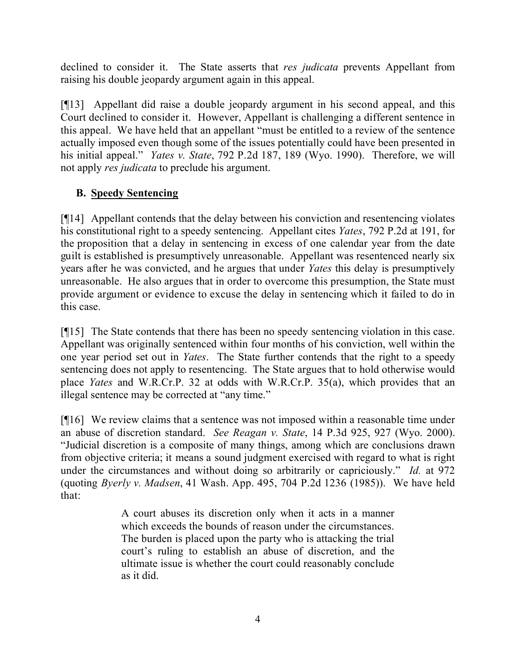declined to consider it. The State asserts that *res judicata* prevents Appellant from raising his double jeopardy argument again in this appeal.

[¶13] Appellant did raise a double jeopardy argument in his second appeal, and this Court declined to consider it. However, Appellant is challenging a different sentence in this appeal. We have held that an appellant "must be entitled to a review of the sentence actually imposed even though some of the issues potentially could have been presented in his initial appeal." *Yates v. State*, 792 P.2d 187, 189 (Wyo. 1990). Therefore, we will not apply *res judicata* to preclude his argument.

# **B. Speedy Sentencing**

[¶14] Appellant contends that the delay between his conviction and resentencing violates his constitutional right to a speedy sentencing. Appellant cites *Yates*, 792 P.2d at 191, for the proposition that a delay in sentencing in excess of one calendar year from the date guilt is established is presumptively unreasonable. Appellant was resentenced nearly six years after he was convicted, and he argues that under *Yates* this delay is presumptively unreasonable. He also argues that in order to overcome this presumption, the State must provide argument or evidence to excuse the delay in sentencing which it failed to do in this case.

[¶15] The State contends that there has been no speedy sentencing violation in this case. Appellant was originally sentenced within four months of his conviction, well within the one year period set out in *Yates*. The State further contends that the right to a speedy sentencing does not apply to resentencing. The State argues that to hold otherwise would place *Yates* and W.R.Cr.P. 32 at odds with W.R.Cr.P. 35(a), which provides that an illegal sentence may be corrected at "any time."

[¶16] We review claims that a sentence was not imposed within a reasonable time under an abuse of discretion standard. *See Reagan v. State*, 14 P.3d 925, 927 (Wyo. 2000). "Judicial discretion is a composite of many things, among which are conclusions drawn from objective criteria; it means a sound judgment exercised with regard to what is right under the circumstances and without doing so arbitrarily or capriciously." *Id.* at 972 (quoting *Byerly v. Madsen*, 41 Wash. App. 495, 704 P.2d 1236 (1985)). We have held that:

> A court abuses its discretion only when it acts in a manner which exceeds the bounds of reason under the circumstances. The burden is placed upon the party who is attacking the trial court's ruling to establish an abuse of discretion, and the ultimate issue is whether the court could reasonably conclude as it did.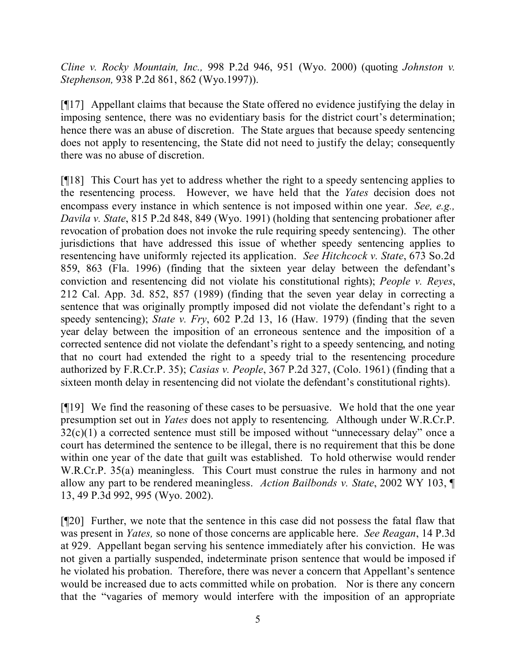*Cline v. Rocky Mountain, Inc.,* 998 P.2d 946, 951 (Wyo. 2000) (quoting *Johnston v. Stephenson,* 938 P.2d 861, 862 (Wyo.1997)).

[¶17] Appellant claims that because the State offered no evidence justifying the delay in imposing sentence, there was no evidentiary basis for the district court's determination; hence there was an abuse of discretion. The State argues that because speedy sentencing does not apply to resentencing, the State did not need to justify the delay; consequently there was no abuse of discretion.

[¶18] This Court has yet to address whether the right to a speedy sentencing applies to the resentencing process. However, we have held that the *Yates* decision does not encompass every instance in which sentence is not imposed within one year. *See, e.g., Davila v. State*, 815 P.2d 848, 849 (Wyo. 1991) (holding that sentencing probationer after revocation of probation does not invoke the rule requiring speedy sentencing). The other jurisdictions that have addressed this issue of whether speedy sentencing applies to resentencing have uniformly rejected its application. *See Hitchcock v. State*, 673 So.2d 859, 863 (Fla. 1996) (finding that the sixteen year delay between the defendant's conviction and resentencing did not violate his constitutional rights); *People v. Reyes*, 212 Cal. App. 3d. 852, 857 (1989) (finding that the seven year delay in correcting a sentence that was originally promptly imposed did not violate the defendant's right to a speedy sentencing); *State v. Fry*, 602 P.2d 13, 16 (Haw. 1979) (finding that the seven year delay between the imposition of an erroneous sentence and the imposition of a corrected sentence did not violate the defendant's right to a speedy sentencing, and noting that no court had extended the right to a speedy trial to the resentencing procedure authorized by F.R.Cr.P. 35); *Casias v. People*, 367 P.2d 327, (Colo. 1961) (finding that a sixteen month delay in resentencing did not violate the defendant's constitutional rights).

[¶19] We find the reasoning of these cases to be persuasive. We hold that the one year presumption set out in *Yates* does not apply to resentencing. Although under W.R.Cr.P.  $32(c)(1)$  a corrected sentence must still be imposed without "unnecessary delay" once a court has determined the sentence to be illegal, there is no requirement that this be done within one year of the date that guilt was established. To hold otherwise would render W.R.Cr.P. 35(a) meaningless. This Court must construe the rules in harmony and not allow any part to be rendered meaningless. *Action Bailbonds v. State*, 2002 WY 103, ¶ 13, 49 P.3d 992, 995 (Wyo. 2002).

[¶20] Further, we note that the sentence in this case did not possess the fatal flaw that was present in *Yates,* so none of those concerns are applicable here. *See Reagan*, 14 P.3d at 929. Appellant began serving his sentence immediately after his conviction. He was not given a partially suspended, indeterminate prison sentence that would be imposed if he violated his probation. Therefore, there was never a concern that Appellant's sentence would be increased due to acts committed while on probation. Nor is there any concern that the "vagaries of memory would interfere with the imposition of an appropriate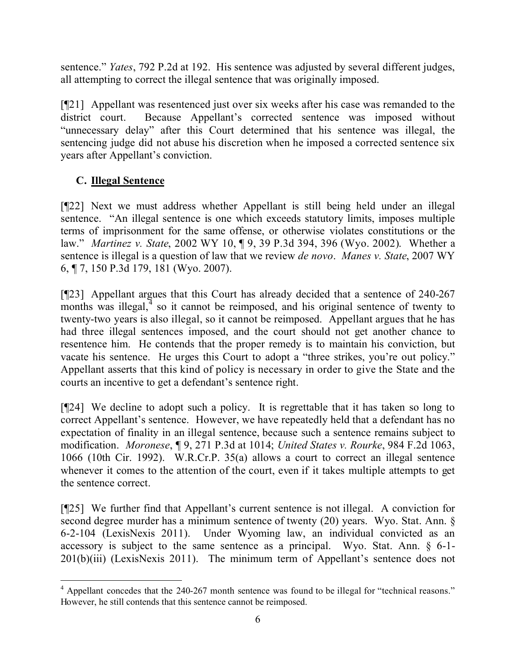sentence." *Yates*, 792 P.2d at 192. His sentence was adjusted by several different judges, all attempting to correct the illegal sentence that was originally imposed.

[¶21] Appellant was resentenced just over six weeks after his case was remanded to the district court. Because Appellant's corrected sentence was imposed without "unnecessary delay" after this Court determined that his sentence was illegal, the sentencing judge did not abuse his discretion when he imposed a corrected sentence six years after Appellant's conviction.

# **C. Illegal Sentence**

[¶22] Next we must address whether Appellant is still being held under an illegal sentence. "An illegal sentence is one which exceeds statutory limits, imposes multiple terms of imprisonment for the same offense, or otherwise violates constitutions or the law." *Martinez v. State*, 2002 WY 10, ¶ 9, 39 P.3d 394, 396 (Wyo. 2002). Whether a sentence is illegal is a question of law that we review *de novo*. *Manes v. State*, 2007 WY 6, ¶ 7, 150 P.3d 179, 181 (Wyo. 2007).

[¶23] Appellant argues that this Court has already decided that a sentence of 240-267 months was illegal, $\frac{4}{3}$  so it cannot be reimposed, and his original sentence of twenty to twenty-two years is also illegal, so it cannot be reimposed. Appellant argues that he has had three illegal sentences imposed, and the court should not get another chance to resentence him. He contends that the proper remedy is to maintain his conviction, but vacate his sentence. He urges this Court to adopt a "three strikes, you're out policy." Appellant asserts that this kind of policy is necessary in order to give the State and the courts an incentive to get a defendant's sentence right.

[¶24] We decline to adopt such a policy. It is regrettable that it has taken so long to correct Appellant's sentence. However, we have repeatedly held that a defendant has no expectation of finality in an illegal sentence, because such a sentence remains subject to modification. *Moronese*, ¶ 9, 271 P.3d at 1014; *United States v. Rourke*, 984 F.2d 1063, 1066 (10th Cir. 1992). W.R.Cr.P. 35(a) allows a court to correct an illegal sentence whenever it comes to the attention of the court, even if it takes multiple attempts to get the sentence correct.

[¶25] We further find that Appellant's current sentence is not illegal. A conviction for second degree murder has a minimum sentence of twenty (20) years. Wyo. Stat. Ann. § 6-2-104 (LexisNexis 2011). Under Wyoming law, an individual convicted as an accessory is subject to the same sentence as a principal. Wyo. Stat. Ann. § 6-1- 201(b)(iii) (LexisNexis 2011). The minimum term of Appellant's sentence does not

 <sup>4</sup> Appellant concedes that the 240-267 month sentence was found to be illegal for "technical reasons." However, he still contends that this sentence cannot be reimposed.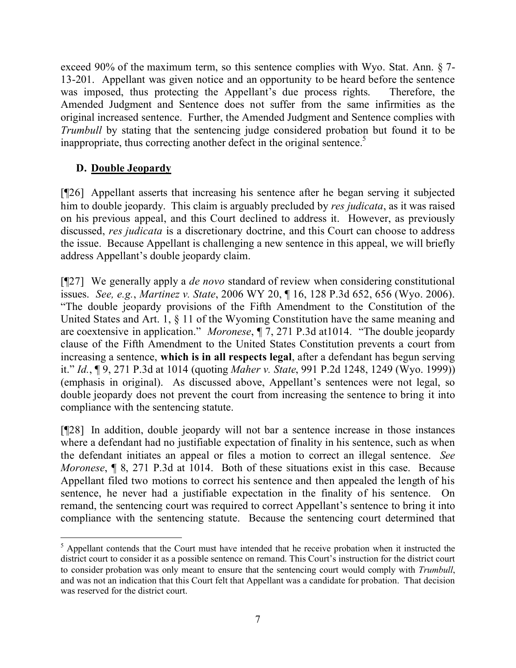exceed 90% of the maximum term, so this sentence complies with Wyo. Stat. Ann. § 7- 13-201. Appellant was given notice and an opportunity to be heard before the sentence was imposed, thus protecting the Appellant's due process rights. Therefore, the Amended Judgment and Sentence does not suffer from the same infirmities as the original increased sentence. Further, the Amended Judgment and Sentence complies with *Trumbull* by stating that the sentencing judge considered probation but found it to be inappropriate, thus correcting another defect in the original sentence.<sup>5</sup>

## **D. Double Jeopardy**

 $\overline{a}$ 

[¶26] Appellant asserts that increasing his sentence after he began serving it subjected him to double jeopardy. This claim is arguably precluded by *res judicata*, as it was raised on his previous appeal, and this Court declined to address it. However, as previously discussed, *res judicata* is a discretionary doctrine, and this Court can choose to address the issue. Because Appellant is challenging a new sentence in this appeal, we will briefly address Appellant's double jeopardy claim.

[¶27] We generally apply a *de novo* standard of review when considering constitutional issues. *See, e.g.*, *Martinez v. State*, 2006 WY 20, ¶ 16, 128 P.3d 652, 656 (Wyo. 2006). "The double jeopardy provisions of the Fifth Amendment to the Constitution of the United States and Art. 1, § 11 of the Wyoming Constitution have the same meaning and are coextensive in application." *Moronese*, ¶ 7, 271 P.3d at1014. "The double jeopardy clause of the Fifth Amendment to the United States Constitution prevents a court from increasing a sentence, **which is in all respects legal**, after a defendant has begun serving it." *Id.*, ¶ 9, 271 P.3d at 1014 (quoting *Maher v. State*, 991 P.2d 1248, 1249 (Wyo. 1999)) (emphasis in original). As discussed above, Appellant's sentences were not legal, so double jeopardy does not prevent the court from increasing the sentence to bring it into compliance with the sentencing statute.

[¶28] In addition, double jeopardy will not bar a sentence increase in those instances where a defendant had no justifiable expectation of finality in his sentence, such as when the defendant initiates an appeal or files a motion to correct an illegal sentence. *See Moronese*, **[8, 271 P.3d at 1014.** Both of these situations exist in this case. Because Appellant filed two motions to correct his sentence and then appealed the length of his sentence, he never had a justifiable expectation in the finality of his sentence. On remand, the sentencing court was required to correct Appellant's sentence to bring it into compliance with the sentencing statute. Because the sentencing court determined that

<sup>&</sup>lt;sup>5</sup> Appellant contends that the Court must have intended that he receive probation when it instructed the district court to consider it as a possible sentence on remand. This Court's instruction for the district court to consider probation was only meant to ensure that the sentencing court would comply with *Trumbull*, and was not an indication that this Court felt that Appellant was a candidate for probation. That decision was reserved for the district court.